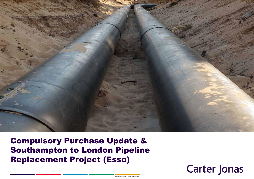

Compulsory Purchase Update & Southampton to London Pipeline Replacement Project (Esso)

# **Carter Jonas**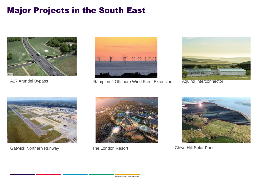## Major Projects in the South East





A27 Arundel Bypass **Rampion 2 Offshore Wind Farm Extension** Aquind Interconnector





Gatwick Northern Runway The London Resort Cleve Hill Solar Park



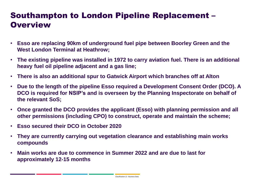### Southampton to London Pipeline Replacement – **Overview**

- **Esso are replacing 90km of underground fuel pipe between Boorley Green and the West London Terminal at Heathrow;**
- **The existing pipeline was installed in 1972 to carry aviation fuel. There is an additional heavy fuel oil pipeline adjacent and a gas line;**
- **There is also an additional spur to Gatwick Airport which branches off at Alton**
- **Due to the length of the pipeline Esso required a Development Consent Order (DCO). A DCO is required for NSIP's and is overseen by the Planning Inspectorate on behalf of the relevant SoS;**
- **Once granted the DCO provides the applicant (Esso) with planning permission and all other permissions (including CPO) to construct, operate and maintain the scheme;**
- **Esso secured their DCO in October 2020**
- **They are currently carrying out vegetation clearance and establishing main works compounds**
- **Main works are due to commence in Summer 2022 and are due to last for approximately 12-15 months**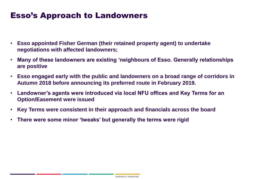### Esso's Approach to Landowners

- **Esso appointed Fisher German (their retained property agent) to undertake negotiations with affected landowners;**
- **Many of these landowners are existing 'neighbours of Esso. Generally relationships are positive**
- **Esso engaged early with the public and landowners on a broad range of corridors in Autumn 2018 before announcing its preferred route in February 2019.**
- **Landowner's agents were introduced via local NFU offices and Key Terms for an Option/Easement were issued**
- **Key Terms were consistent in their approach and financials across the board**
- **There were some minor 'tweaks' but generally the terms were rigid**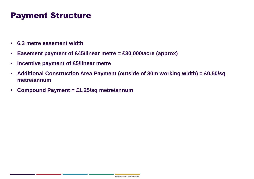### Payment Structure

- **6.3 metre easement width**
- **Easement payment of £45/linear metre = £30,000/acre (approx)**
- **Incentive payment of £5/linear metre**
- **Additional Construction Area Payment (outside of 30m working width) = £0.50/sq metre/annum**
- **Compound Payment = £1.25/sq metre/annum**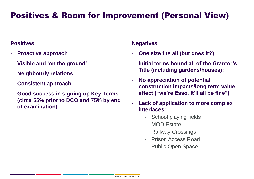### Positives & Room for Improvement (Personal View)

### **Positives**

- **Proactive approach**
- **Visible and 'on the ground'**
- **Neighbourly relations**
- **Consistent approach**
- **Good success in signing up Key Terms (circa 55% prior to DCO and 75% by end of examination)**

#### **Negatives**

- **One size fits all (but does it?)**
- **Initial terms bound all of the Grantor's Title (including gardens/houses);**
- **No appreciation of potential construction impacts/long term value effect ("we're Esso, it'll all be fine")**
- Lack of application to more complex **interfaces:**
	- School playing fields
	- MOD Estate
	- Railway Crossings
	- **Prison Access Road**
	- Public Open Space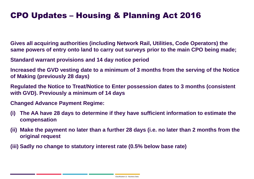### CPO Updates – Housing & Planning Act 2016

**Gives all acquiring authorities (including Network Rail, Utilities, Code Operators) the same powers of entry onto land to carry out surveys prior to the main CPO being made;**

**Standard warrant provisions and 14 day notice period** 

**Increased the GVD vesting date to a minimum of 3 months from the serving of the Notice of Making (previously 28 days)**

**Regulated the Notice to Treat/Notice to Enter possession dates to 3 months (consistent with GVD). Previously a minimum of 14 days** 

**Changed Advance Payment Regime:**

- **(i) The AA have 28 days to determine if they have sufficient information to estimate the compensation**
- **(ii) Make the payment no later than a further 28 days (i.e. no later than 2 months from the original request**
- **(iii) Sadly no change to statutory interest rate (0.5% below base rate)**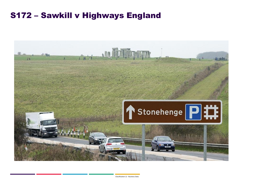### S172 – Sawkill v Highways England

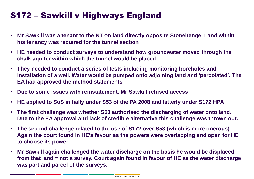## S172 – Sawkill v Highways England

- **Mr Sawkill was a tenant to the NT on land directly opposite Stonehenge. Land within his tenancy was required for the tunnel section**
- **HE needed to conduct surveys to understand how groundwater moved through the chalk aquifer within which the tunnel would be placed**
- **They needed to conduct a series of tests including monitoring boreholes and installation of a well. Water would be pumped onto adjoining land and 'percolated'. The EA had approved the method statements**
- **Due to some issues with reinstatement, Mr Sawkill refused access**
- **HE applied to SoS initially under S53 of the PA 2008 and latterly under S172 HPA**
- **The first challenge was whether S53 authorised the discharging of water onto land. Due to the EA approval and lack of credible alternative this challenge was thrown out.**
- **The second challenge related to the use of S172 over S53 (which is more onerous). Again the court found in HE's favour as the powers were overlapping and open for HE to choose its power.**
- **Mr Sawkill again challenged the water discharge on the basis he would be displaced from that land = not a survey. Court again found in favour of HE as the water discharge was part and parcel of the surveys.**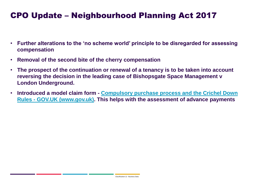### CPO Update – Neighbourhood Planning Act 2017

- **Further alterations to the 'no scheme world' principle to be disregarded for assessing compensation**
- **Removal of the second bite of the cherry compensation**
- **The prospect of the continuation or renewal of a tenancy is to be taken into account reversing the decision in the leading case of Bishopsgate Space Management v London Underground.**
- **Introduced a model claim form - Compulsory purchase process and the Crichel Down Rules - [GOV.UK \(www.gov.uk\). This helps with the assessment of advance payments](https://www.gov.uk/government/publications/compulsory-purchase-process-and-the-crichel-down-rules-guidance)**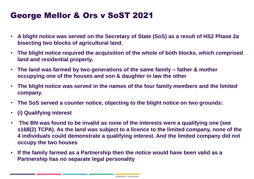### George Mellor & Ors v SoST 2021

- **A blight notice was served on the Secretary of State (SoS) as a result of HS2 Phase 2a bisecting two blocks of agricultural land.**
- **The blight notice required the acquisition of the whole of both blocks, which comprised land and residential property.**
- **The land was farmed by two generations of the same family – father & mother occupying one of the houses and son & daughter in law the other**
- **The blight notice was served in the names of the four family members and the limited company.**
- **The SoS served a counter notice, objecting to the blight notice on two grounds:**
- **(i) Qualifying interest**
- **The BN was found to be invalid as none of the interests were a qualifying one (see s168(2) TCPA). As the land was subject to a licence to the limited company, none of the 4 individuals could demonstrate a qualifying interest. And the limited company did not occupy the two houses**
- **If the family farmed as a Partnership then the notice would have been valid as a Partnership has no separate legal personality**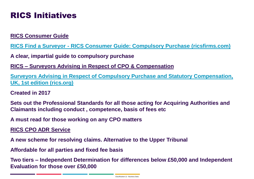### RICS Initiatives

**RICS Consumer Guide**

**RICS Find a Surveyor - [RICS Consumer Guide: Compulsory Purchase \(ricsfirms.com\)](https://www.ricsfirms.com/residential/legal-issues/compulsory-purchase/rics-consumer-guide-compulsory-purchase/)**

**A clear, impartial guide to compulsory purchase** 

**RICS – Surveyors Advising in Respect of CPO & Compensation** 

**[Surveyors Advising in Respect of Compulsory Purchase and Statutory Compensation,](https://www.rics.org/uk/upholding-professional-standards/sector-standards/land/surveyors-advising-in-respect-of-compulsory-purchase-and-statutory-compensation-uk/)  UK, 1st edition (rics.org)**

**Created in 2017**

**Sets out the Professional Standards for all those acting for Acquiring Authorities and Claimants including conduct , competence, basis of fees etc**

**A must read for those working on any CPO matters** 

**RICS CPO ADR Service**

**A new scheme for resolving claims. Alternative to the Upper Tribunal** 

**Affordable for all parties and fixed fee basis** 

**Two tiers – Independent Determination for differences below £50,000 and Independent Evaluation for those over £50,000**